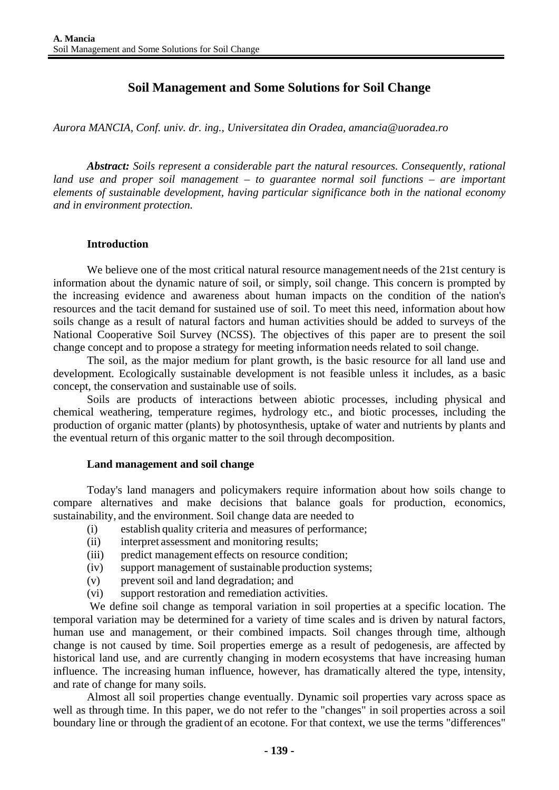# **Soil Management and Some Solutions for Soil Change**

*Aurora MANCIA, Conf. univ. dr. ing., Universitatea din Oradea, amancia@uoradea.ro* 

*Abstract: Soils represent a considerable part the natural resources. Consequently, rational land use and proper soil management – to guarantee normal soil functions – are important elements of sustainable development, having particular significance both in the national economy and in environment protection.* 

### **Introduction**

We believe one of the most critical natural resource management needs of the 21st century is information about the dynamic nature of soil, or simply, soil change. This concern is prompted by the increasing evidence and awareness about human impacts on the condition of the nation's resources and the tacit demand for sustained use of soil. To meet this need, information about how soils change as a result of natural factors and human activities should be added to surveys of the National Cooperative Soil Survey (NCSS). The objectives of this paper are to present the soil change concept and to propose a strategy for meeting information needs related to soil change.

The soil, as the major medium for plant growth, is the basic resource for all land use and development. Ecologically sustainable development is not feasible unless it includes, as a basic concept, the conservation and sustainable use of soils.

Soils are products of interactions between abiotic processes, including physical and chemical weathering, temperature regimes, hydrology etc., and biotic processes, including the production of organic matter (plants) by photosynthesis, uptake of water and nutrients by plants and the eventual return of this organic matter to the soil through decomposition.

#### **Land management and soil change**

Today's land managers and policymakers require information about how soils change to compare alternatives and make decisions that balance goals for production, economics, sustainability, and the environment. Soil change data are needed to

- (i) establish quality criteria and measures of performance;
- (ii) interpret assessment and monitoring results;
- (iii) predict management effects on resource condition;
- (iv) support management of sustainable production systems;
- (v) prevent soil and land degradation; and
- (vi) support restoration and remediation activities.

We define soil change as temporal variation in soil properties at a specific location. The temporal variation may be determined for a variety of time scales and is driven by natural factors, human use and management, or their combined impacts. Soil changes through time, although change is not caused by time. Soil properties emerge as a result of pedogenesis, are affected by historical land use, and are currently changing in modern ecosystems that have increasing human influence. The increasing human influence, however, has dramatically altered the type, intensity, and rate of change for many soils.

Almost all soil properties change eventually. Dynamic soil properties vary across space as well as through time. In this paper, we do not refer to the "changes" in soil properties across a soil boundary line or through the gradient of an ecotone. For that context, we use the terms "differences"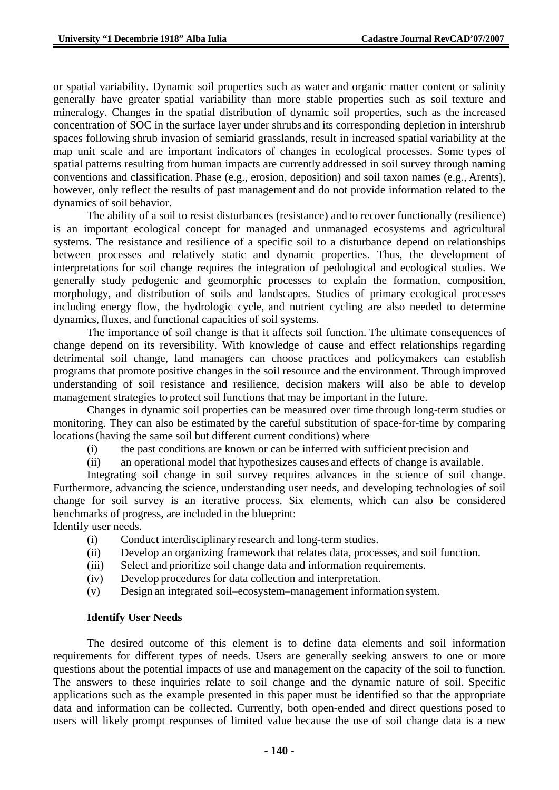or spatial variability. Dynamic soil properties such as water and organic matter content or salinity generally have greater spatial variability than more stable properties such as soil texture and mineralogy. Changes in the spatial distribution of dynamic soil properties, such as the increased concentration of SOC in the surface layer under shrubs and its corresponding depletion in intershrub spaces following shrub invasion of semiarid grasslands, result in increased spatial variability at the map unit scale and are important indicators of changes in ecological processes. Some types of spatial patterns resulting from human impacts are currently addressed in soil survey through naming conventions and classification. Phase (e.g., erosion, deposition) and soil taxon names (e.g., Arents), however, only reflect the results of past management and do not provide information related to the dynamics of soil behavior.

The ability of a soil to resist disturbances (resistance) and to recover functionally (resilience) is an important ecological concept for managed and unmanaged ecosystems and agricultural systems. The resistance and resilience of a specific soil to a disturbance depend on relationships between processes and relatively static and dynamic properties. Thus, the development of interpretations for soil change requires the integration of pedological and ecological studies. We generally study pedogenic and geomorphic processes to explain the formation, composition, morphology, and distribution of soils and landscapes. Studies of primary ecological processes including energy flow, the hydrologic cycle, and nutrient cycling are also needed to determine dynamics,fluxes, and functional capacities of soil systems.

The importance of soil change is that it affects soil function. The ultimate consequences of change depend on its reversibility. With knowledge of cause and effect relationships regarding detrimental soil change, land managers can choose practices and policymakers can establish programs that promote positive changes in the soil resource and the environment. Through improved understanding of soil resistance and resilience, decision makers will also be able to develop management strategies to protect soil functions that may be important in the future.

Changes in dynamic soil properties can be measured over time through long-term studies or monitoring. They can also be estimated by the careful substitution of space-for-time by comparing locations(having the same soil but different current conditions) where

- (i) the past conditions are known or can be inferred with sufficient precision and
- (ii) an operational model that hypothesizes causes and effects of change is available.

Integrating soil change in soil survey requires advances in the science of soil change. Furthermore, advancing the science, understanding user needs, and developing technologies of soil change for soil survey is an iterative process. Six elements, which can also be considered benchmarks of progress, are included in the blueprint: Identify user needs.

- (i) Conduct interdisciplinary research and long-term studies.
- (ii) Develop an organizing framework that relates data, processes, and soil function.
- (iii) Select and prioritize soil change data and information requirements.
- (iv) Develop procedures for data collection and interpretation.
- (v) Design an integrated soil–ecosystem–management information system.

### **Identify User Needs**

The desired outcome of this element is to define data elements and soil information requirements for different types of needs. Users are generally seeking answers to one or more questions about the potential impacts of use and management on the capacity of the soil to function. The answers to these inquiries relate to soil change and the dynamic nature of soil. Specific applications such as the example presented in this paper must be identified so that the appropriate data and information can be collected. Currently, both open-ended and direct questions posed to users will likely prompt responses of limited value because the use of soil change data is a new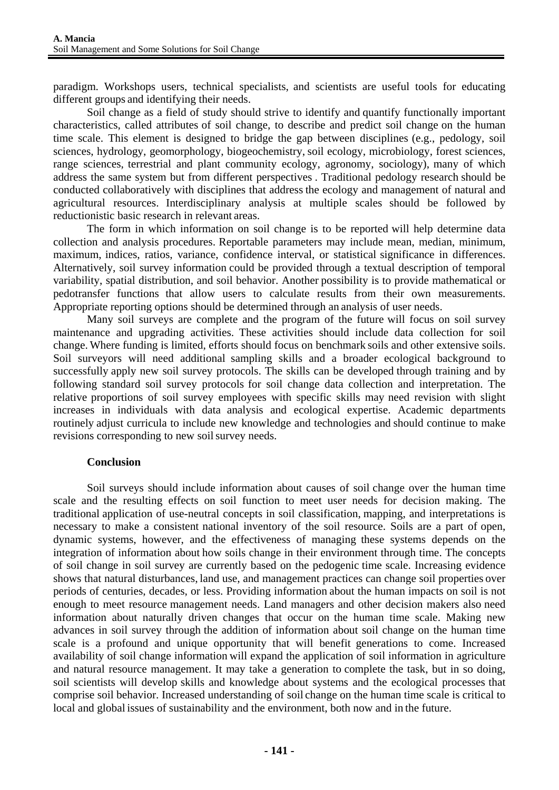paradigm. Workshops users, technical specialists, and scientists are useful tools for educating different groups and identifying their needs.

Soil change as a field of study should strive to identify and quantify functionally important characteristics, called attributes of soil change, to describe and predict soil change on the human time scale. This element is designed to bridge the gap between disciplines (e.g., pedology, soil sciences, hydrology, geomorphology, biogeochemistry, soil ecology, microbiology, forest sciences, range sciences, terrestrial and plant community ecology, agronomy, sociology), many of which address the same system but from different perspectives . Traditional pedology research should be conducted collaboratively with disciplines that address the ecology and management of natural and agricultural resources. Interdisciplinary analysis at multiple scales should be followed by reductionistic basic research in relevant areas.

The form in which information on soil change is to be reported will help determine data collection and analysis procedures. Reportable parameters may include mean, median, minimum, maximum, indices, ratios, variance, confidence interval, or statistical significance in differences. Alternatively, soil survey information could be provided through a textual description of temporal variability, spatial distribution, and soil behavior. Another possibility is to provide mathematical or pedotransfer functions that allow users to calculate results from their own measurements. Appropriate reporting options should be determined through an analysis of user needs.

Many soil surveys are complete and the program of the future will focus on soil survey maintenance and upgrading activities. These activities should include data collection for soil change. Where funding is limited, efforts should focus on benchmark soils and other extensive soils. Soil surveyors will need additional sampling skills and a broader ecological background to successfully apply new soil survey protocols. The skills can be developed through training and by following standard soil survey protocols for soil change data collection and interpretation. The relative proportions of soil survey employees with specific skills may need revision with slight increases in individuals with data analysis and ecological expertise. Academic departments routinely adjust curricula to include new knowledge and technologies and should continue to make revisions corresponding to new soil survey needs.

### **Conclusion**

Soil surveys should include information about causes of soil change over the human time scale and the resulting effects on soil function to meet user needs for decision making. The traditional application of use-neutral concepts in soil classification, mapping, and interpretations is necessary to make a consistent national inventory of the soil resource. Soils are a part of open, dynamic systems, however, and the effectiveness of managing these systems depends on the integration of information about how soils change in their environment through time. The concepts of soil change in soil survey are currently based on the pedogenic time scale. Increasing evidence shows that natural disturbances, land use, and management practices can change soil properties over periods of centuries, decades, or less. Providing information about the human impacts on soil is not enough to meet resource management needs. Land managers and other decision makers also need information about naturally driven changes that occur on the human time scale. Making new advances in soil survey through the addition of information about soil change on the human time scale is a profound and unique opportunity that will benefit generations to come. Increased availability of soil change information will expand the application of soil information in agriculture and natural resource management. It may take a generation to complete the task, but in so doing, soil scientists will develop skills and knowledge about systems and the ecological processes that comprise soil behavior. Increased understanding of soil change on the human time scale is critical to local and global issues of sustainability and the environment, both now and in the future.